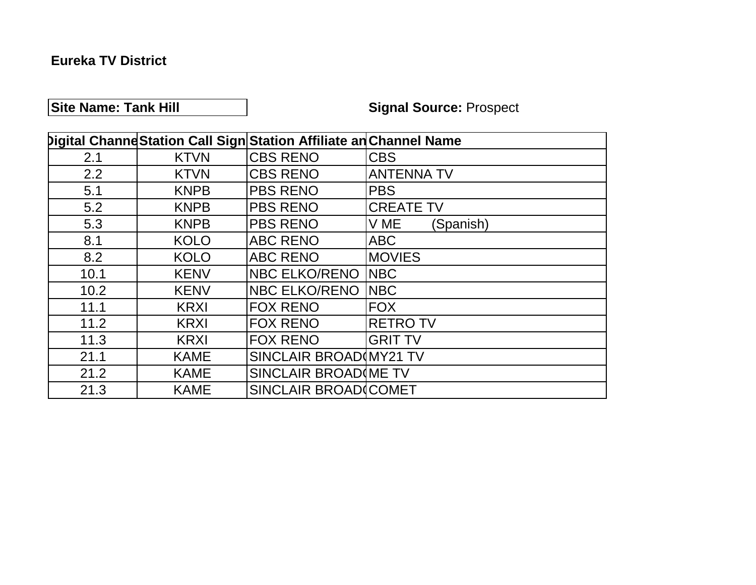## **Eureka TV District**

# **Site Name: Tank Hill Signal Source: Prospect**

|      |             | Digital Channe Station Call Sign Station Affiliate an Channel Name |                   |
|------|-------------|--------------------------------------------------------------------|-------------------|
| 2.1  | <b>KTVN</b> | <b>CBS RENO</b>                                                    | <b>CBS</b>        |
| 2.2  | <b>KTVN</b> | <b>CBS RENO</b>                                                    | <b>ANTENNA TV</b> |
| 5.1  | <b>KNPB</b> | <b>PBS RENO</b>                                                    | <b>PBS</b>        |
| 5.2  | <b>KNPB</b> | <b>PBS RENO</b>                                                    | <b>CREATE TV</b>  |
| 5.3  | <b>KNPB</b> | <b>PBS RENO</b>                                                    | V ME<br>(Spanish) |
| 8.1  | <b>KOLO</b> | <b>ABC RENO</b>                                                    | <b>ABC</b>        |
| 8.2  | <b>KOLO</b> | <b>ABC RENO</b>                                                    | <b>MOVIES</b>     |
| 10.1 | <b>KENV</b> | <b>NBC ELKO/RENO</b>                                               | <b>NBC</b>        |
| 10.2 | <b>KENV</b> | <b>NBC ELKO/RENO</b>                                               | <b>NBC</b>        |
| 11.1 | <b>KRXI</b> | <b>FOX RENO</b>                                                    | <b>FOX</b>        |
| 11.2 | <b>KRXI</b> | <b>FOX RENO</b>                                                    | <b>RETRO TV</b>   |
| 11.3 | <b>KRXI</b> | <b>FOX RENO</b>                                                    | <b>GRIT TV</b>    |
| 21.1 | <b>KAME</b> | SINCLAIR BROAD(MY21 TV                                             |                   |
| 21.2 | <b>KAME</b> | SINCLAIR BROAD (ME TV                                              |                   |
| 21.3 | <b>KAME</b> | SINCLAIR BROAD(COMET                                               |                   |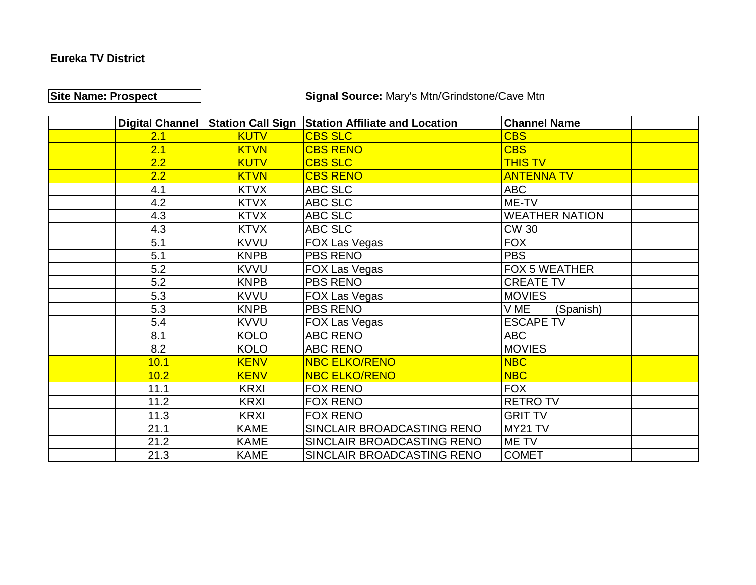#### **Eureka TV District**

# **Site Name: Prospect Signal Source:** Mary's Mtn/Grindstone/Cave Mtn

|      | Digital Channel Station Call Sign | <b>Station Affiliate and Location</b> | <b>Channel Name</b>   |
|------|-----------------------------------|---------------------------------------|-----------------------|
| 2.1  | <b>KUTV</b>                       | <b>CBS SLC</b>                        | <b>CBS</b>            |
| 2.1  | <b>KTVN</b>                       | <b>CBS RENO</b>                       | <b>CBS</b>            |
| 2.2  | <b>KUTV</b>                       | <b>CBS SLC</b>                        | <b>THIS TV</b>        |
| 2.2  | <b>KTVN</b>                       | <b>CBS RENO</b>                       | <b>ANTENNA TV</b>     |
| 4.1  | <b>KTVX</b>                       | <b>ABC SLC</b>                        | <b>ABC</b>            |
| 4.2  | <b>KTVX</b>                       | ABC SLC                               | ME-TV                 |
| 4.3  | <b>KTVX</b>                       | ABC SLC                               | <b>WEATHER NATION</b> |
| 4.3  | <b>KTVX</b>                       | ABC SLC                               | <b>CW 30</b>          |
| 5.1  | <b>KVVU</b>                       | <b>FOX Las Vegas</b>                  | <b>FOX</b>            |
| 5.1  | <b>KNPB</b>                       | <b>PBS RENO</b>                       | <b>PBS</b>            |
| 5.2  | <b>KVVU</b>                       | <b>FOX Las Vegas</b>                  | <b>FOX 5 WEATHER</b>  |
| 5.2  | <b>KNPB</b>                       | <b>PBS RENO</b>                       | <b>CREATE TV</b>      |
| 5.3  | <b>KVVU</b>                       | <b>FOX Las Vegas</b>                  | <b>MOVIES</b>         |
| 5.3  | <b>KNPB</b>                       | <b>PBS RENO</b>                       | V ME<br>(Spanish)     |
| 5.4  | <b>KVVU</b>                       | <b>FOX Las Vegas</b>                  | <b>ESCAPE TV</b>      |
| 8.1  | <b>KOLO</b>                       | <b>ABC RENO</b>                       | <b>ABC</b>            |
| 8.2  | <b>KOLO</b>                       | <b>ABC RENO</b>                       | <b>MOVIES</b>         |
| 10.1 | <b>KENV</b>                       | <b>NBC ELKO/RENO</b>                  | <b>NBC</b>            |
| 10.2 | <b>KENV</b>                       | <b>NBC ELKO/RENO</b>                  | <b>NBC</b>            |
| 11.1 | <b>KRXI</b>                       | <b>FOX RENO</b>                       | <b>FOX</b>            |
| 11.2 | <b>KRXI</b>                       | <b>FOX RENO</b>                       | <b>RETRO TV</b>       |
| 11.3 | <b>KRXI</b>                       | <b>FOX RENO</b>                       | <b>GRIT TV</b>        |
| 21.1 | <b>KAME</b>                       | SINCLAIR BROADCASTING RENO            | MY21 TV               |
| 21.2 | <b>KAME</b>                       | SINCLAIR BROADCASTING RENO            | ME TV                 |
| 21.3 | <b>KAME</b>                       | SINCLAIR BROADCASTING RENO            | <b>COMET</b>          |